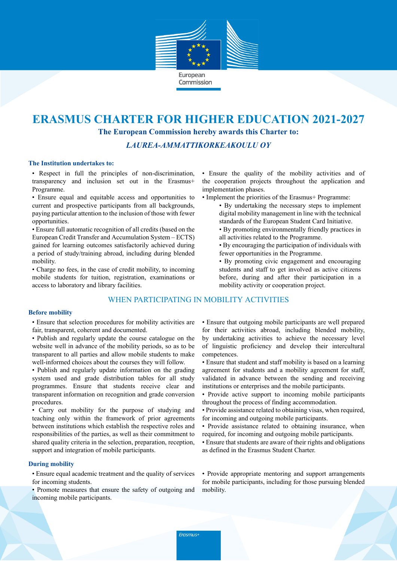

# **ERASMUS CHARTER FOR HIGHER EDUCATION 2021-2027 The European Commission hereby awards this Charter to:**

*LAUREA-AMMATTIKORKEAKOULU OY*

### **The Institution undertakes to:**

• Respect in full the principles of non-discrimination, transparency and inclusion set out in the Erasmus+ Programme.

• Ensure equal and equitable access and opportunities to current and prospective participants from all backgrounds, paying particular attention to the inclusion of those with fewer opportunities.

• Ensure full automatic recognition of all credits (based on the European Credit Transfer and Accumulation System – ECTS) gained for learning outcomes satisfactorily achieved during a period of study/training abroad, including during blended mobility.

• Charge no fees, in the case of credit mobility, to incoming mobile students for tuition, registration, examinations or access to laboratory and library facilities.

## WHEN PARTICIPATING IN MOBILITY ACTIVITIES

#### **Before mobility**

• Ensure that selection procedures for mobility activities are fair, transparent, coherent and documented.

- Publish and regularly update the course catalogue on the website well in advance of the mobility periods, so as to be transparent to all parties and allow mobile students to make well-informed choices about the courses they will follow.
- Publish and regularly update information on the grading system used and grade distribution tables for all study programmes. Ensure that students receive clear and transparent information on recognition and grade conversion procedures.

• Carry out mobility for the purpose of studying and teaching only within the framework of prior agreements between institutions which establish the respective roles and responsibilities of the parties, as well as their commitment to shared quality criteria in the selection, preparation, reception, support and integration of mobile participants.

## **During mobility**

• Ensure equal academic treatment and the quality of services for incoming students.

• Promote measures that ensure the safety of outgoing and incoming mobile participants.

• Ensure the quality of the mobility activities and of the cooperation projects throughout the application and implementation phases.

- Implement the priorities of the Erasmus+ Programme:
	- By undertaking the necessary steps to implement digital mobility management in line with the technical standards of the European Student Card Initiative.
	- By promoting environmentally friendly practices in all activities related to the Programme.
	- By encouraging the participation of individuals with fewer opportunities in the Programme.
	- By promoting civic engagement and encouraging students and staff to get involved as active citizens before, during and after their participation in a mobility activity or cooperation project.

• Ensure that outgoing mobile participants are well prepared for their activities abroad, including blended mobility, by undertaking activities to achieve the necessary level of linguistic proficiency and develop their intercultural competences.

- Ensure that student and staff mobility is based on a learning agreement for students and a mobility agreement for staff, validated in advance between the sending and receiving institutions or enterprises and the mobile participants.
- Provide active support to incoming mobile participants throughout the process of finding accommodation.
- Provide assistance related to obtaining visas, when required, for incoming and outgoing mobile participants.
- Provide assistance related to obtaining insurance, when required, for incoming and outgoing mobile participants.
- Ensure that students are aware of their rights and obligations as defined in the Erasmus Student Charter.

• Provide appropriate mentoring and support arrangements for mobile participants, including for those pursuing blended mobility.

Erasmus+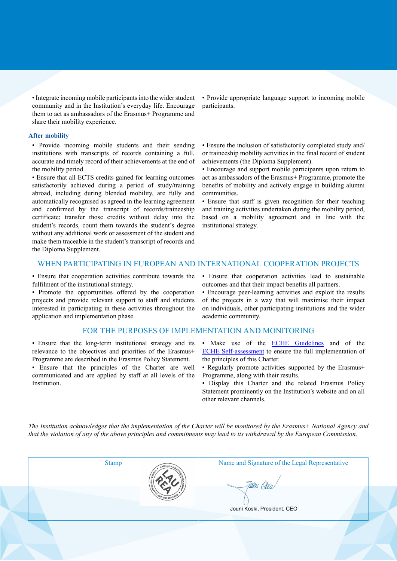• Integrate incoming mobile participants into the wider student community and in the Institution's everyday life. Encourage them to act as ambassadors of the Erasmus+ Programme and share their mobility experience.

#### **After mobility**

• Provide incoming mobile students and their sending institutions with transcripts of records containing a full, accurate and timely record of their achievements at the end of the mobility period.

• Ensure that all ECTS credits gained for learning outcomes satisfactorily achieved during a period of study/training abroad, including during blended mobility, are fully and automatically recognised as agreed in the learning agreement and confirmed by the transcript of records/traineeship certificate; transfer those credits without delay into the student's records, count them towards the student's degree without any additional work or assessment of the student and make them traceable in the student's transcript of records and the Diploma Supplement.

• Provide appropriate language support to incoming mobile participants.

• Ensure the inclusion of satisfactorily completed study and/ or traineeship mobility activities in the final record of student achievements (the Diploma Supplement).

• Encourage and support mobile participants upon return to act as ambassadors of the Erasmus+ Programme, promote the benefits of mobility and actively engage in building alumni communities.

• Ensure that staff is given recognition for their teaching and training activities undertaken during the mobility period, based on a mobility agreement and in line with the institutional strategy.

## WHEN PARTICIPATING IN EUROPEAN AND INTERNATIONAL COOPERATION PROJECTS

• Ensure that cooperation activities contribute towards the fulfilment of the institutional strategy.

• Promote the opportunities offered by the cooperation projects and provide relevant support to staff and students interested in participating in these activities throughout the application and implementation phase.

#### FOR THE PURPOSES OF IMPLEMENTATION AND MONITORING

• Ensure that the long-term institutional strategy and its relevance to the objectives and priorities of the Erasmus+ Programme are described in the Erasmus Policy Statement.

• Ensure that the principles of the Charter are well communicated and are applied by staff at all levels of the Institution.

• Ensure that cooperation activities lead to sustainable outcomes and that their impact benefits all partners.

• Encourage peer-learning activities and exploit the results of the projects in a way that will maximise their impact on individuals, other participating institutions and the wider academic community.

- Make use of the **ECHE Guidelines** and of the ECHE Self-assessment to ensure the full implementation of the principles of this Charter.
- Regularly promote activities supported by the Erasmus+ Programme, along with their results.
- Display this Charter and the related Erasmus Policy Statement prominently on the Institution's website and on all other relevant channels.

*The Institution acknowledges that the implementation of the Charter will be monitored by the Erasmus+ National Agency and that the violation of any of the above principles and commitments may lead to its withdrawal by the European Commission.*



Stamp Name and Signature of the Legal Representative

Tawi (Um

Jouni Koski, President, CEO